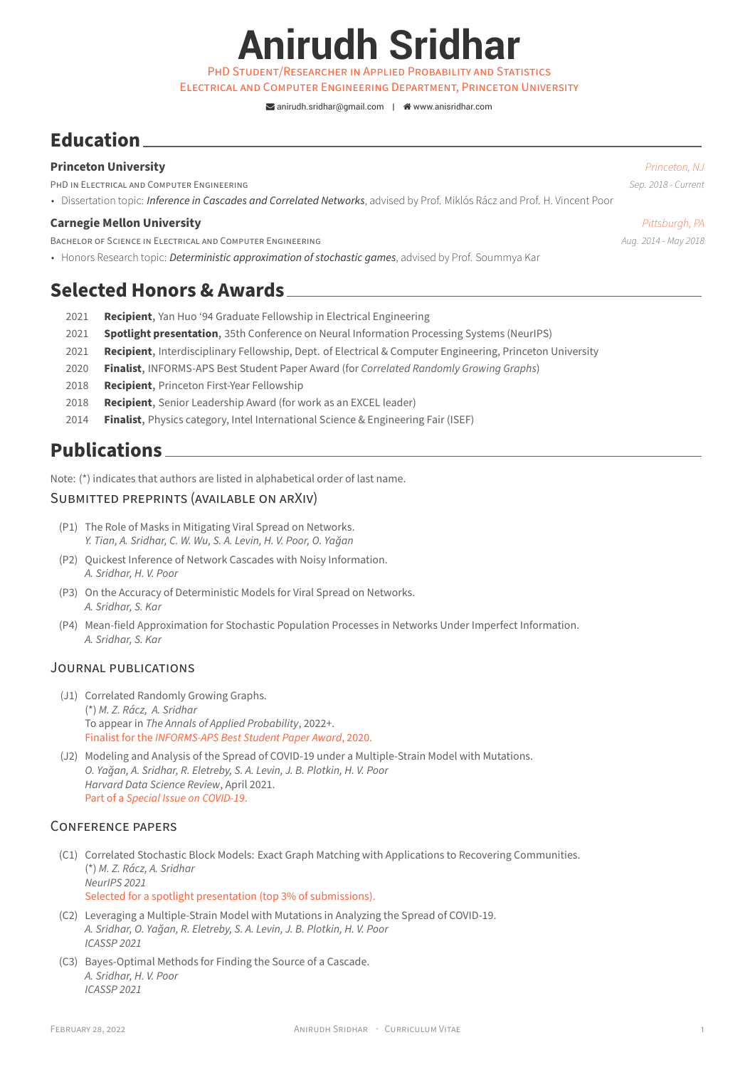**Anirudh Sridhar**

PHD STUDENT/RESEARCHER iN APPLiED PROBABiLiTY AND STATiSTiCS

ELECTRiCAL AND COMPUTER ENGiNEERiNG DEPARTMENT, PRiNCETON UNiVERSiTY

 $\blacktriangleright$  [anirudh.sridhar@gmail.com](mailto:anirudh.sridhar@gmail.com) |  $\blacklozenge$  [www.anisridhar.com](http://www.anisridhar.com)

# **Education**

# **Princeton University** *Princeton, NJ*

PHD iN ELECTRiCAL AND COMPUTER ENGiNEERiNG *Sep. 2018 ‑ Current*

• Dissertation topic: *Inference in Cascades and Correlated Networks*, advised by Prof. Miklós Rácz and Prof. H. Vincent Poor

### **Carnegie Mellon University** *Pittsburgh, PA*

BACHELOR OF SCIENCE IN ELECTRICAL AND COMPUTER ENGINEERING *Aug. 2014 · May 2018 Aug. 2014 · May 2018* 

• Honors Research topic: *Deterministic approximation of stochastic games*, advised by Prof. Soummya Kar

# **Selected Honors & Awards**

- 2021 **Recipient**, Yan Huo '94 Graduate Fellowship in Electrical Engineering
- 2021 **Spotlight presentation**, 35th Conference on Neural Information Processing Systems (NeurIPS)
- 2021 **Recipient**, Interdisciplinary Fellowship, Dept. of Electrical & Computer Engineering, Princeton University
- 2020 **Finalist**, INFORMS‑APS Best Student Paper Award (for *Correlated Randomly Growing Graphs*)
- 2018 **Recipient**, Princeton First-Year Fellowship
- 2018 **Recipient**, Senior Leadership Award (for work as an EXCEL leader)
- 2014 **Finalist**, Physics category, Intel International Science & Engineering Fair (ISEF)

# **Publications**

Note: (\*) indicates that authors are listed in alphabetical order of last name.

## SUBMiTTED PREPRiNTS (AVAiLABLE ON ARXiV)

- (P1) The Role of Masks in Mitigating Viral Spread on Networks. *Y. Tian, A. Sridhar, C. W. Wu, S. A. Levin, H. V. Poor, O. Yağan*
- (P2) Quickest Inference of Network Cascades with Noisy Information. *A. Sridhar, H. V. Poor*
- (P3) On the Accuracy of Deterministic Models for Viral Spread on Networks. *A. Sridhar, S. Kar*
- (P4) Mean-field Approximation for Stochastic Population Processes in Networks Under Imperfect Information. *A. Sridhar, S. Kar*

## JOURNAL PUBLiCATiONS

- (J1) Correlated Randomly Growing Graphs. (\*) *M. Z. Rácz, A. Sridhar* To appear in *The Annals of Applied Probability*, 2022+. Finalist for the *INFORMS‑APS Best Student Paper Award*, 2020.
- (J2) Modeling and Analysis of the Spread of COVID-19 under a Multiple-Strain Model with Mutations. *O. Yağan, A. Sridhar, R. Eletreby, S. A. Levin, J. B. Plotkin, H. V. Poor Harvard Data Science Review*, April 2021. Part of a *Special Issue on COVID‑19*.

# CONFERENCE PAPERS

- (C1) Correlated Stochastic Block Models: Exact Graph Matching with Applications to Recovering Communities. (\*) *M. Z. Rácz, A. Sridhar NeurIPS 2021* Selected for a spotlight presentation (top 3% of submissions).
- (C2) Leveraging a Multiple‑Strain Model with Mutations in Analyzing the Spread of COVID‑19. *A. Sridhar, O. Yağan, R. Eletreby, S. A. Levin, J. B. Plotkin, H. V. Poor ICASSP 2021*
- (C3) Bayes‑Optimal Methods for Finding the Source of a Cascade. *A. Sridhar, H. V. Poor ICASSP 2021*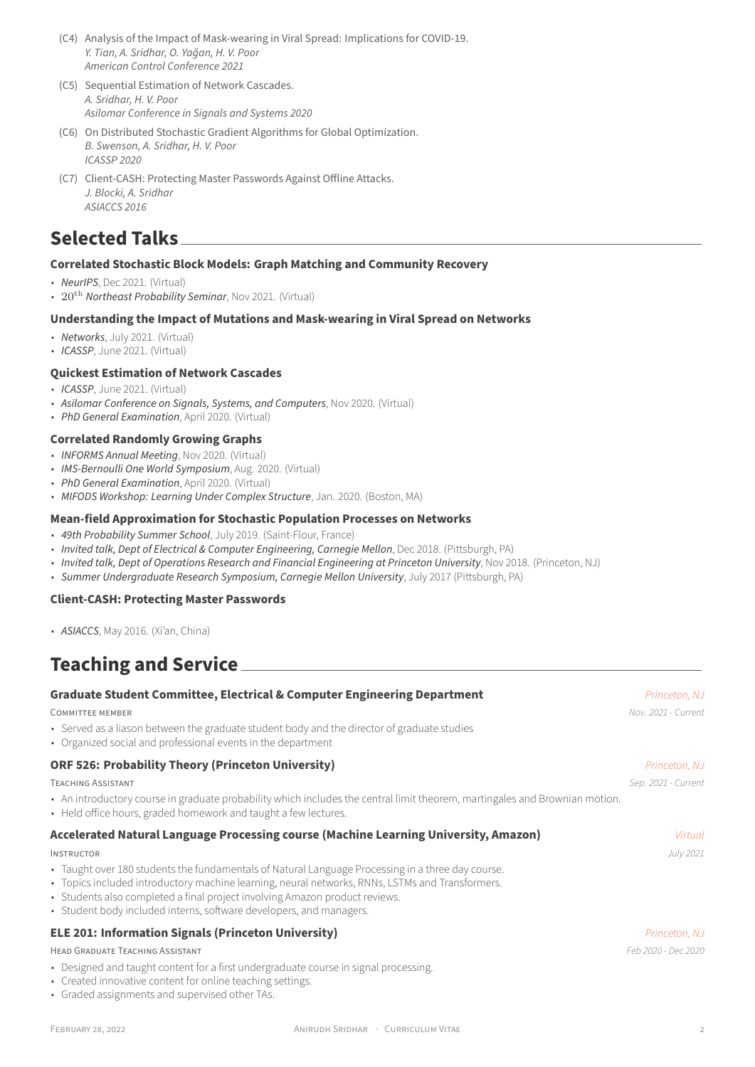- (C4) Analysis of the Impact of Mask‑wearing in Viral Spread: Implications for COVID‑19. *Y. Tian, A. Sridhar, O. Yağan, H. V. Poor American Control Conference 2021*
- (C5) Sequential Estimation of Network Cascades. *A. Sridhar, H. V. Poor Asilomar Conference in Signals and Systems 2020*
- (C6) On Distributed Stochastic Gradient Algorithms for Global Optimization. *B. Swenson, A. Sridhar, H. V. Poor ICASSP 2020*
- (C7) Client‑CASH: Protecting Master Passwords Against Offline Attacks. *J. Blocki, A. Sridhar ASIACCS 2016*

# **Selected Talks**

## **Correlated Stochastic Block Models: Graph Matching and Community Recovery**

- *NeurIPS*, Dec 2021. (Virtual)
- 20th *Northeast Probability Seminar*, Nov 2021. (Virtual)

## **Understanding the Impact of Mutations and Mask‑wearing in Viral Spread on Networks**

- *Networks*, July 2021. (Virtual)
- *ICASSP*, June 2021. (Virtual)

## **Quickest Estimation of Network Cascades**

- *ICASSP*, June 2021. (Virtual)
- *Asilomar Conference on Signals, Systems, and Computers*, Nov 2020. (Virtual)
- *PhD General Examination*, April 2020. (Virtual)

#### **Correlated Randomly Growing Graphs**

- *INFORMS Annual Meeting*, Nov 2020. (Virtual)
- *IMS‑Bernoulli One World Symposium*, Aug. 2020. (Virtual)
- *PhD General Examination*, April 2020. (Virtual)
- *MIFODS Workshop: Learning Under Complex Structure*, Jan. 2020. (Boston, MA)

#### **Mean‑field Approximation for Stochastic Population Processes on Networks**

- *49th Probability Summer School*, July 2019. (Saint‑Flour, France)
- *Invited talk, Dept of Electrical & Computer Engineering, Carnegie Mellon*, Dec 2018. (Pittsburgh, PA)
- *Invited talk, Dept of Operations Research and Financial Engineering at Princeton University*, Nov 2018. (Princeton, NJ)
- *Summer Undergraduate Research Symposium, Carnegie Mellon University*, July 2017 (Pittsburgh, PA)

#### **Client‑CASH: Protecting Master Passwords**

• *ASIACCS*, May 2016. (Xi'an, China)

# **Teaching and Service**

| <b>Graduate Student Committee, Electrical &amp; Computer Engineering Department</b>                                                                                                                                                                                                                                                                        | Princeton, NJ       |
|------------------------------------------------------------------------------------------------------------------------------------------------------------------------------------------------------------------------------------------------------------------------------------------------------------------------------------------------------------|---------------------|
| <b>COMMITTEE MEMBER</b>                                                                                                                                                                                                                                                                                                                                    | Nov. 2021 - Current |
| • Served as a liason between the graduate student body and the director of graduate studies<br>• Organized social and professional events in the department                                                                                                                                                                                                |                     |
| <b>ORF 526: Probability Theory (Princeton University)</b>                                                                                                                                                                                                                                                                                                  | Princeton, NJ       |
| <b>TEACHING ASSISTANT</b>                                                                                                                                                                                                                                                                                                                                  | Sep. 2021 - Current |
| • An introductory course in graduate probability which includes the central limit theorem, martingales and Brownian motion.<br>• Held office hours, graded homework and taught a few lectures.                                                                                                                                                             |                     |
| Accelerated Natural Language Processing course (Machine Learning University, Amazon)                                                                                                                                                                                                                                                                       | Virtual             |
| <b>INSTRUCTOR</b>                                                                                                                                                                                                                                                                                                                                          | July 2021           |
| • Taught over 180 students the fundamentals of Natural Language Processing in a three day course.<br>• Topics included introductory machine learning, neural networks, RNNs, LSTMs and Transformers.<br>• Students also completed a final project involving Amazon product reviews.<br>• Student body included interns, software developers, and managers. |                     |
| <b>ELE 201: Information Signals (Princeton University)</b>                                                                                                                                                                                                                                                                                                 | Princeton, NJ       |
| HEAD GRADUATE TEACHING ASSISTANT                                                                                                                                                                                                                                                                                                                           | Feb 2020 - Dec 2020 |
| • Designed and taught content for a first undergraduate course in signal processing.<br>• Created innovative content for online teaching settings.<br>• Graded assignments and supervised other TAs.                                                                                                                                                       |                     |